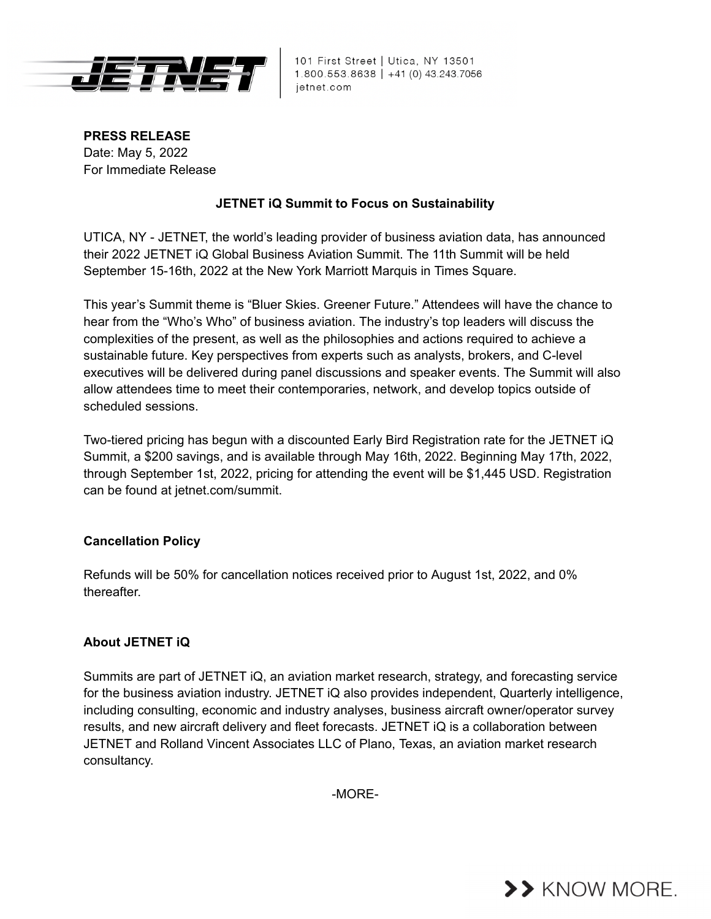

101 First Street | Utica, NY 13501 1.800.553.8638 | +41 (0) 43.243.7056 jetnet.com

**PRESS RELEASE** Date: May 5, 2022 For Immediate Release

## **JETNET iQ Summit to Focus on Sustainability**

UTICA, NY - JETNET, the world's leading provider of business aviation data, has announced their 2022 JETNET iQ Global Business Aviation Summit. The 11th Summit will be held September 15-16th, 2022 at the New York Marriott Marquis in Times Square.

This year's Summit theme is "Bluer Skies. Greener Future." Attendees will have the chance to hear from the "Who's Who" of business aviation. The industry's top leaders will discuss the complexities of the present, as well as the philosophies and actions required to achieve a sustainable future. Key perspectives from experts such as analysts, brokers, and C-level executives will be delivered during panel discussions and speaker events. The Summit will also allow attendees time to meet their contemporaries, network, and develop topics outside of scheduled sessions.

Two-tiered pricing has begun with a discounted Early Bird Registration rate for the JETNET iQ Summit, a \$200 savings, and is available through May 16th, 2022. Beginning May 17th, 2022, through September 1st, 2022, pricing for attending the event will be \$1,445 USD. Registration can be found at jetnet.com/summit.

## **Cancellation Policy**

Refunds will be 50% for cancellation notices received prior to August 1st, 2022, and 0% thereafter.

## **About JETNET iQ**

Summits are part of JETNET iQ, an aviation market research, strategy, and forecasting service for the business aviation industry. JETNET iQ also provides independent, Quarterly intelligence, including consulting, economic and industry analyses, business aircraft owner/operator survey results, and new aircraft delivery and fleet forecasts. JETNET iQ is a collaboration between JETNET and Rolland Vincent Associates LLC of Plano, Texas, an aviation market research consultancy.

-MORE-